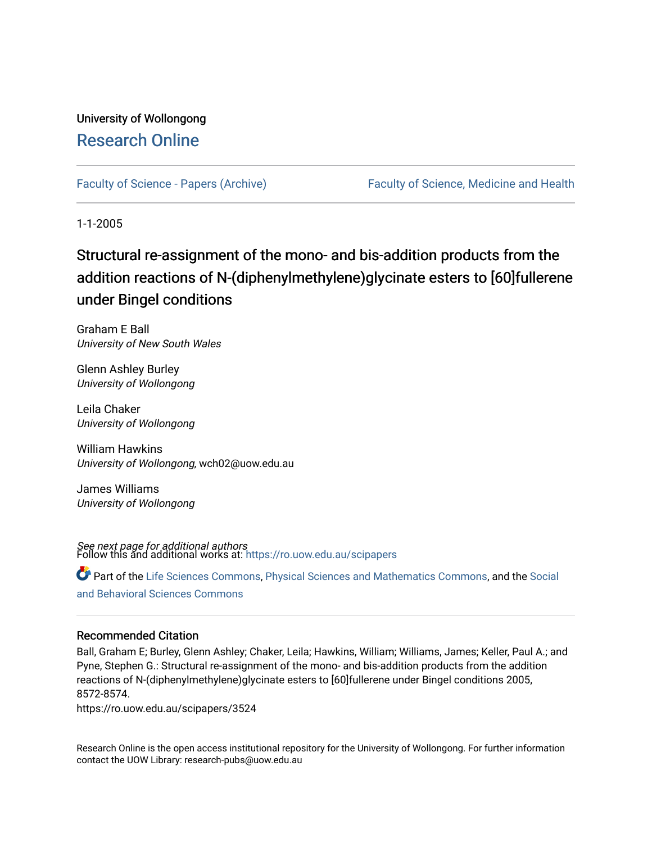# University of Wollongong [Research Online](https://ro.uow.edu.au/)

[Faculty of Science - Papers \(Archive\)](https://ro.uow.edu.au/scipapers) [Faculty of Science, Medicine and Health](https://ro.uow.edu.au/smh) 

1-1-2005

# Structural re-assignment of the mono- and bis-addition products from the addition reactions of N-(diphenylmethylene)glycinate esters to [60]fullerene under Bingel conditions

Graham E Ball University of New South Wales

Glenn Ashley Burley University of Wollongong

Leila Chaker University of Wollongong

William Hawkins University of Wollongong, wch02@uow.edu.au

James Williams University of Wollongong

**See next page for additional authors**<br>Follow this and additional works at: [https://ro.uow.edu.au/scipapers](https://ro.uow.edu.au/scipapers?utm_source=ro.uow.edu.au%2Fscipapers%2F3524&utm_medium=PDF&utm_campaign=PDFCoverPages)

Part of the [Life Sciences Commons,](http://network.bepress.com/hgg/discipline/1016?utm_source=ro.uow.edu.au%2Fscipapers%2F3524&utm_medium=PDF&utm_campaign=PDFCoverPages) [Physical Sciences and Mathematics Commons,](http://network.bepress.com/hgg/discipline/114?utm_source=ro.uow.edu.au%2Fscipapers%2F3524&utm_medium=PDF&utm_campaign=PDFCoverPages) and the Social [and Behavioral Sciences Commons](http://network.bepress.com/hgg/discipline/316?utm_source=ro.uow.edu.au%2Fscipapers%2F3524&utm_medium=PDF&utm_campaign=PDFCoverPages) 

### Recommended Citation

Ball, Graham E; Burley, Glenn Ashley; Chaker, Leila; Hawkins, William; Williams, James; Keller, Paul A.; and Pyne, Stephen G.: Structural re-assignment of the mono- and bis-addition products from the addition reactions of N-(diphenylmethylene)glycinate esters to [60]fullerene under Bingel conditions 2005, 8572-8574.

https://ro.uow.edu.au/scipapers/3524

Research Online is the open access institutional repository for the University of Wollongong. For further information contact the UOW Library: research-pubs@uow.edu.au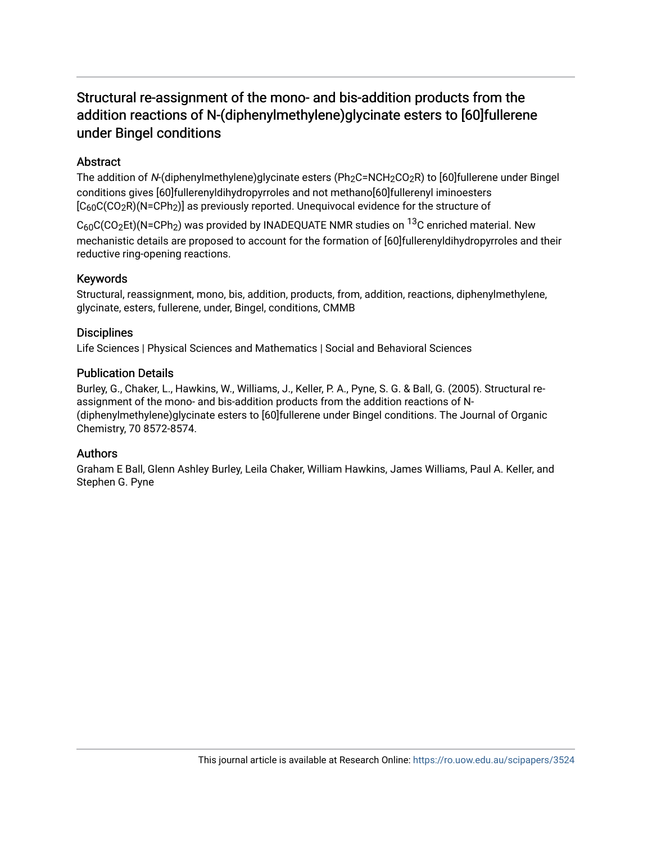# Structural re-assignment of the mono- and bis-addition products from the addition reactions of N-(diphenylmethylene)glycinate esters to [60]fullerene under Bingel conditions

### **Abstract**

The addition of N-(diphenylmethylene)glycinate esters (Ph<sub>2</sub>C=NCH<sub>2</sub>CO<sub>2</sub>R) to [60]fullerene under Bingel conditions gives [60]fullerenyldihydropyrroles and not methano[60]fullerenyl iminoesters  $[C<sub>60</sub>C(CO<sub>2</sub>R)(N=CPh<sub>2</sub>)]$  as previously reported. Unequivocal evidence for the structure of

 $C_{60}C(CO_2Et)(N=CPh_2)$  was provided by INADEQUATE NMR studies on  $^{13}C$  enriched material. New mechanistic details are proposed to account for the formation of [60]fullerenyldihydropyrroles and their reductive ring-opening reactions.

### Keywords

Structural, reassignment, mono, bis, addition, products, from, addition, reactions, diphenylmethylene, glycinate, esters, fullerene, under, Bingel, conditions, CMMB

### **Disciplines**

Life Sciences | Physical Sciences and Mathematics | Social and Behavioral Sciences

### Publication Details

Burley, G., Chaker, L., Hawkins, W., Williams, J., Keller, P. A., Pyne, S. G. & Ball, G. (2005). Structural reassignment of the mono- and bis-addition products from the addition reactions of N- (diphenylmethylene)glycinate esters to [60]fullerene under Bingel conditions. The Journal of Organic Chemistry, 70 8572-8574.

### Authors

Graham E Ball, Glenn Ashley Burley, Leila Chaker, William Hawkins, James Williams, Paul A. Keller, and Stephen G. Pyne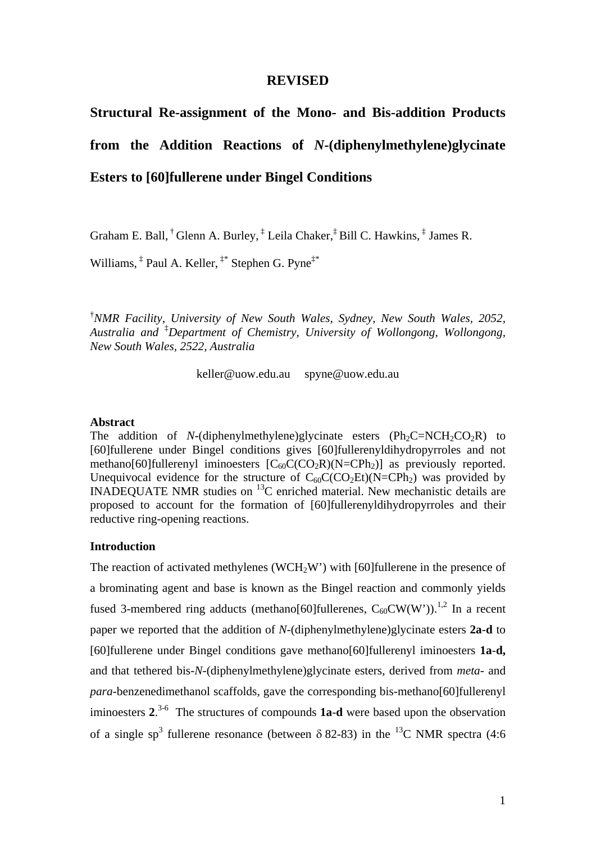### **REVISED**

# **Structural Re-assignment of the Mono- and Bis-addition Products from the Addition Reactions of** *N***-(diphenylmethylene)glycinate Esters to [60]fullerene under Bingel Conditions**

Graham E. Ball,  $^{\dagger}$  Glenn A. Burley,  $^{\dagger}$  Leila Chaker,  $^{\dagger}$  Bill C. Hawkins,  $^{\dagger}$  James R.

Williams, ‡ Paul A. Keller, ‡\* Stephen G. Pyne‡\*

<sup>†</sup> NMR Facility, University of New South Wales, Sydney, New South Wales, 2052, *Australia and* ‡ *Department of Chemistry, University of Wollongong, Wollongong, New South Wales, 2522, Australia* 

keller@uow.edu.au spyne@uow.edu.au

### **Abstract**

The addition of *N*-(diphenylmethylene)glycinate esters  $(Ph<sub>2</sub>C=NCH<sub>2</sub>CO<sub>2</sub>R)$  to [60]fullerene under Bingel conditions gives [60]fullerenyldihydropyrroles and not methano[60]fullerenyl iminoesters  $[C_{60}C(CO_2R)(N=CPh_2)]$  as previously reported. Unequivocal evidence for the structure of  $C_{60}C(CO_2Et)(N=CPh_2)$  was provided by INADEQUATE NMR studies on  $^{13}$ C enriched material. New mechanistic details are proposed to account for the formation of [60]fullerenyldihydropyrroles and their reductive ring-opening reactions.

### **Introduction**

The reaction of activated methylenes (WCH<sub>2</sub>W') with [60]fullerene in the presence of a brominating agent and base is known as the Bingel reaction and commonly yields fused 3-membered ring adducts (methano[60]fullerenes,  $C_{60}CW(W')$ ).<sup>1,2</sup> In a recent paper we reported that the addition of *N*-(diphenylmethylene)glycinate esters **2a**-**d** to [60]fullerene under Bingel conditions gave methano[60]fullerenyl iminoesters **1a**-**d,** and that tethered bis-*N*-(diphenylmethylene)glycinate esters, derived from *meta*- and *para*-benzenedimethanol scaffolds, gave the corresponding bis-methano[60]fullerenyl iminoesters **2**. 3-6 The structures of compounds **1a**-**d** were based upon the observation of a single sp<sup>3</sup> fullerene resonance (between  $\delta$  82-83) in the <sup>13</sup>C NMR spectra (4:6)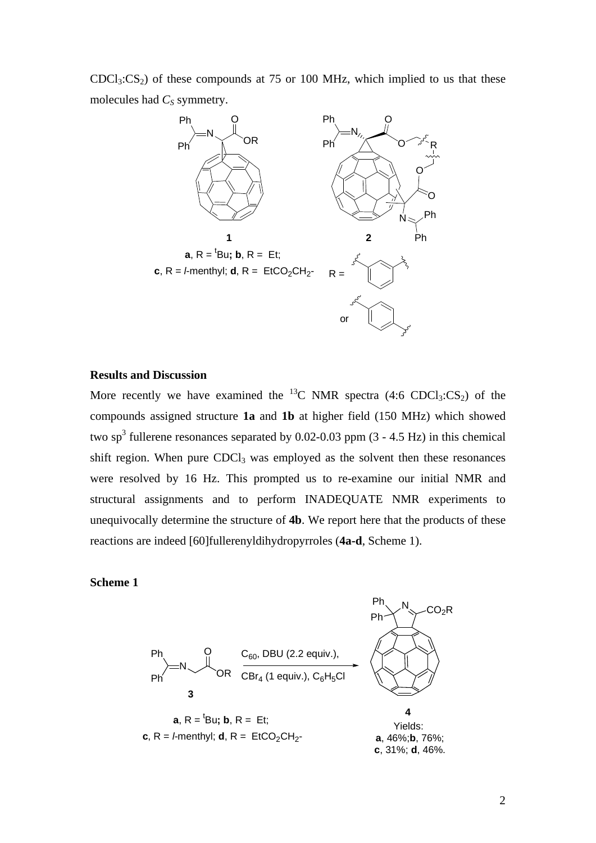$CDC<sub>13</sub>:CS<sub>2</sub>$  of these compounds at 75 or 100 MHz, which implied to us that these molecules had  $C_S$  symmetry.



#### **Results and Discussion**

More recently we have examined the <sup>13</sup>C NMR spectra (4:6 CDCl<sub>3</sub>:CS<sub>2</sub>) of the compounds assigned structure **1a** and **1b** at higher field (150 MHz) which showed two sp<sup>3</sup> fullerene resonances separated by 0.02-0.03 ppm  $(3 - 4.5 \text{ Hz})$  in this chemical shift region. When pure  $CDCl<sub>3</sub>$  was employed as the solvent then these resonances were resolved by 16 Hz. This prompted us to re-examine our initial NMR and structural assignments and to perform INADEQUATE NMR experiments to unequivocally determine the structure of **4b**. We report here that the products of these reactions are indeed [60]fullerenyldihydropyrroles (**4a-d**, Scheme 1).

### **Scheme 1**

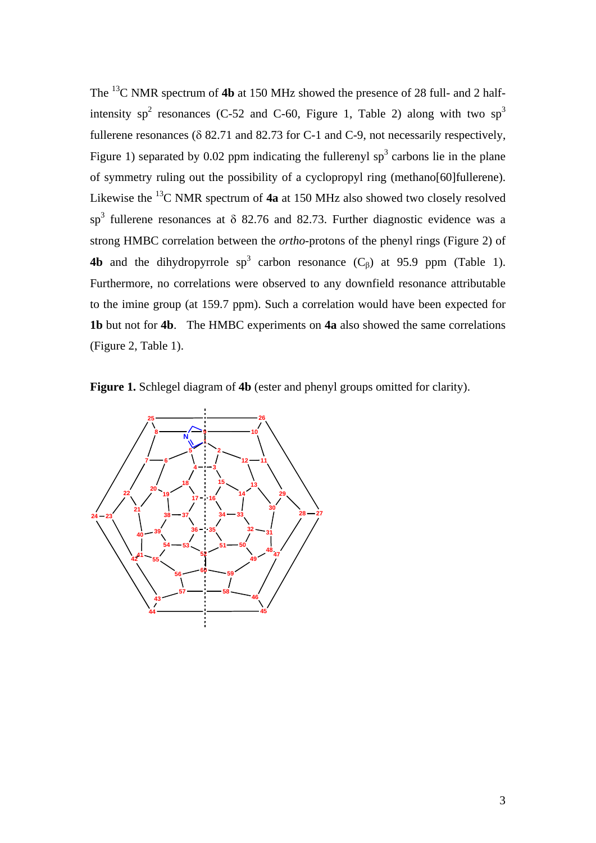The 13C NMR spectrum of **4b** at 150 MHz showed the presence of 28 full- and 2 halfintensity sp<sup>2</sup> resonances (C-52 and C-60, Figure 1, Table 2) along with two sp<sup>3</sup> fullerene resonances ( $\delta$  82.71 and 82.73 for C-1 and C-9, not necessarily respectively, Figure 1) separated by 0.02 ppm indicating the fullerenyl  $sp<sup>3</sup>$  carbons lie in the plane of symmetry ruling out the possibility of a cyclopropyl ring (methano[60]fullerene). Likewise the 13C NMR spectrum of **4a** at 150 MHz also showed two closely resolved sp<sup>3</sup> fullerene resonances at  $\delta$  82.76 and 82.73. Further diagnostic evidence was a strong HMBC correlation between the *ortho*-protons of the phenyl rings (Figure 2) of **4b** and the dihydropyrrole  $sp^3$  carbon resonance  $(C_\beta)$  at 95.9 ppm (Table 1). Furthermore, no correlations were observed to any downfield resonance attributable to the imine group (at 159.7 ppm). Such a correlation would have been expected for **1b** but not for **4b**. The HMBC experiments on **4a** also showed the same correlations (Figure 2, Table 1).

**Figure 1.** Schlegel diagram of **4b** (ester and phenyl groups omitted for clarity).

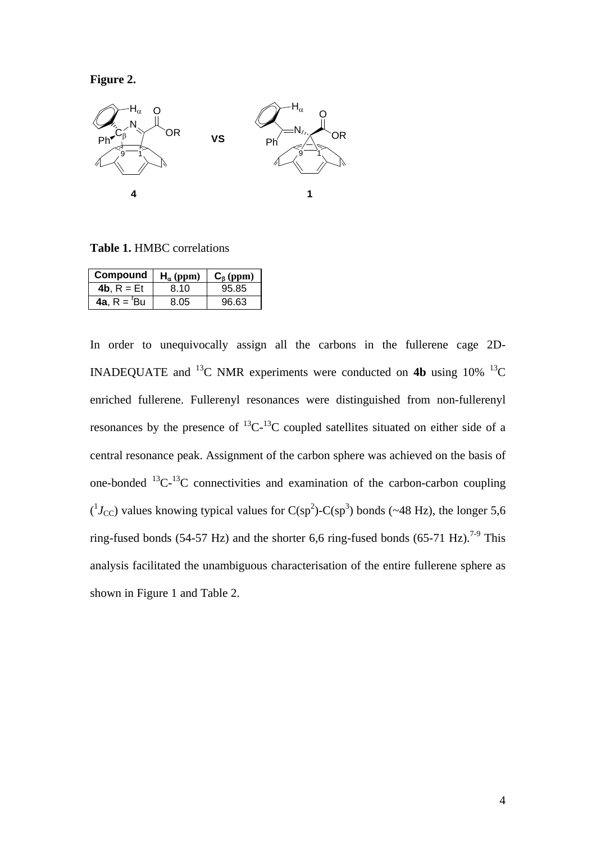**Figure 2.** 



**Table 1.** HMBC correlations

| Compound                  | $H_{\alpha}$ (ppm) | $C_{\beta}$ (ppm) |
|---------------------------|--------------------|-------------------|
| 4b. $R = Et$              | 8.10               | 95.85             |
| <b>4a.</b> $R = {}^{t}Bu$ | 8.05               | 96.63             |

In order to unequivocally assign all the carbons in the fullerene cage 2D-INADEQUATE and <sup>13</sup>C NMR experiments were conducted on **4b** using 10% <sup>13</sup>C enriched fullerene. Fullerenyl resonances were distinguished from non-fullerenyl resonances by the presence of  ${}^{13}C_{1}{}^{13}C$  coupled satellites situated on either side of a central resonance peak. Assignment of the carbon sphere was achieved on the basis of one-bonded  ${}^{13}C^{-13}C$  connectivities and examination of the carbon-carbon coupling  $(^1J_{\rm CC})$  values knowing typical values for C(sp<sup>2</sup>)-C(sp<sup>3</sup>) bonds (~48 Hz), the longer 5,6 ring-fused bonds (54-57 Hz) and the shorter 6,6 ring-fused bonds (65-71 Hz).<sup>7-9</sup> This analysis facilitated the unambiguous characterisation of the entire fullerene sphere as shown in Figure 1 and Table 2.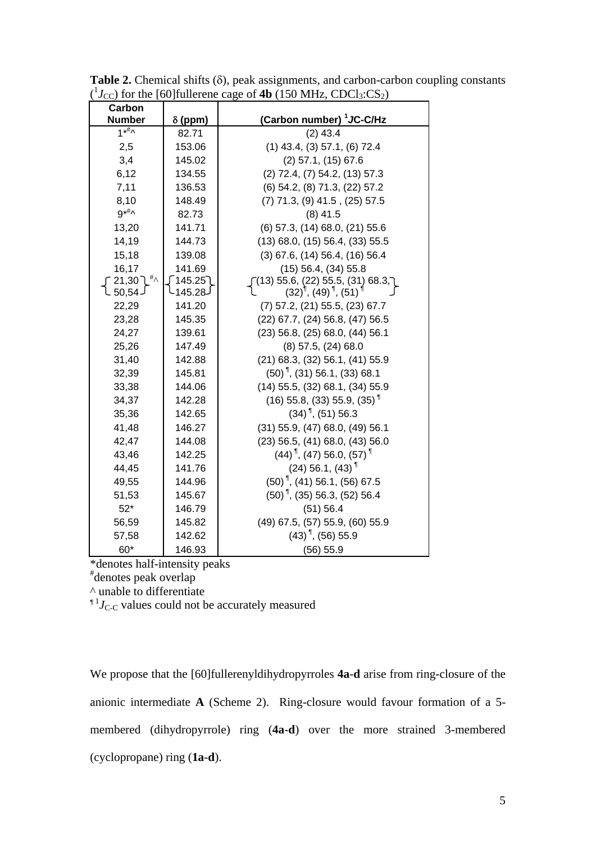| Carbon                      |                |                                                                    |  |  |
|-----------------------------|----------------|--------------------------------------------------------------------|--|--|
| <b>Number</b>               | $\delta$ (ppm) | (Carbon number) <sup>1</sup> JC-C/Hz                               |  |  |
| $1**^{\#}$                  | 82.71          | $(2)$ 43.4                                                         |  |  |
| 2,5                         | 153.06         | $(1)$ 43.4, $(3)$ 57.1, $(6)$ 72.4                                 |  |  |
| 3,4                         | 145.02         | $(2)$ 57.1, $(15)$ 67.6                                            |  |  |
| 6,12                        | 134.55         | $(2)$ 72.4, $(7)$ 54.2, $(13)$ 57.3                                |  |  |
| 7,11                        | 136.53         | (6) 54.2, (8) 71.3, (22) 57.2                                      |  |  |
| 8,10                        | 148.49         | $(7)$ 71.3, $(9)$ 41.5, $(25)$ 57.5                                |  |  |
| $9^{*#} \wedge$             | 82.73          | $(8)$ 41.5                                                         |  |  |
| 13,20                       | 141.71         | (6) 57.3, (14) 68.0, (21) 55.6                                     |  |  |
| 14,19                       | 144.73         | $(13)$ 68.0, $(15)$ 56.4, $(33)$ 55.5                              |  |  |
| 15,18                       | 139.08         | $(3)$ 67.6, $(14)$ 56.4, $(16)$ 56.4                               |  |  |
| 16,17                       | 141.69         | $(15)$ 56.4, $(34)$ 55.8                                           |  |  |
| $^{\#} \wedge$<br>ົ 21,30 ໄ | ∫ 145.25       | $(13)$ 55.6, $(22)$ 55.5, $(31)$ 68.3,                             |  |  |
| է 50,54.                    | 145.28-        | $(32)^{\frac{1}{3}}$ , $(49)^{\frac{1}{3}}$ , $(51)^{\frac{1}{3}}$ |  |  |
| 22,29                       | 141.20         | $(7)$ 57.2, $(21)$ 55.5, $(23)$ 67.7                               |  |  |
| 23,28                       | 145.35         | (22) 67.7, (24) 56.8, (47) 56.5                                    |  |  |
| 24,27                       | 139.61         | $(23)$ 56.8, $(25)$ 68.0, $(44)$ 56.1                              |  |  |
| 25,26                       | 147.49         | $(8)$ 57.5, $(24)$ 68.0                                            |  |  |
| 31,40                       | 142.88         | $(21)$ 68.3, $(32)$ 56.1, $(41)$ 55.9                              |  |  |
| 32,39                       | 145.81         | $(50)$ , $(31)$ 56.1, $(33)$ 68.1                                  |  |  |
| 33,38                       | 144.06         | $(14)$ 55.5, $(32)$ 68.1, $(34)$ 55.9                              |  |  |
| 34,37                       | 142.28         | $(16)$ 55.8, (33) 55.9, (35) <sup>1</sup>                          |  |  |
| 35,36                       | 142.65         | $(34)$ <sup>1</sup> , (51) 56.3                                    |  |  |
| 41,48                       | 146.27         | (31) 55.9, (47) 68.0, (49) 56.1                                    |  |  |
| 42,47                       | 144.08         | $(23)$ 56.5, $(41)$ 68.0, $(43)$ 56.0                              |  |  |
| 43,46                       | 142.25         | $(44)$ <sup>1</sup> , (47) 56.0, (57) <sup>1</sup>                 |  |  |
| 44,45                       | 141.76         | $(24)$ 56.1, $(43)$ <sup>1</sup>                                   |  |  |
| 49,55                       | 144.96         | $(50)$ <sup>1</sup> , (41) 56.1, (56) 67.5                         |  |  |
| 51,53                       | 145.67         | $(50)$ , (35) 56.3, (52) 56.4                                      |  |  |
| $52*$                       | 146.79         | (51) 56.4                                                          |  |  |
| 56,59                       | 145.82         | (49) 67.5, (57) 55.9, (60) 55.9                                    |  |  |
| 57,58                       | 142.62         | $(43)$ <sup>1</sup> , (56) 55.9                                    |  |  |
| 60*                         | 146.93         | (56) 55.9                                                          |  |  |

**Table 2.** Chemical shifts  $(\delta)$ , peak assignments, and carbon-carbon coupling constants  $({}^{1}J_{\text{CC}})$  for the [60]fullerene cage of **4b** (150 MHz, CDCl<sub>3</sub>:CS<sub>2</sub>)

\*denotes half-intensity peaks # denotes peak overlap

 $^{\wedge}$  unable to differentiate<br><sup>1</sup><sup>*J*</sup>C<sub>-C</sub> values could not be accurately measured

We propose that the [60]fullerenyldihydropyrroles **4a**-**d** arise from ring-closure of the anionic intermediate **A** (Scheme 2). Ring-closure would favour formation of a 5 membered (dihydropyrrole) ring (**4a**-**d**) over the more strained 3-membered (cyclopropane) ring (**1a**-**d**).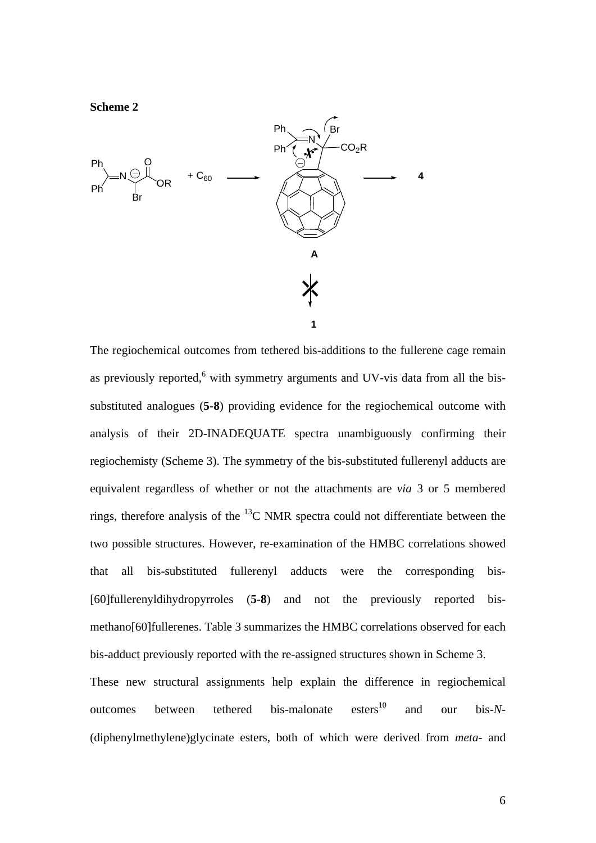

The regiochemical outcomes from tethered bis-additions to the fullerene cage remain as previously reported, $6$  with symmetry arguments and UV-vis data from all the bissubstituted analogues (**5**-**8**) providing evidence for the regiochemical outcome with analysis of their 2D-INADEQUATE spectra unambiguously confirming their regiochemisty (Scheme 3). The symmetry of the bis-substituted fullerenyl adducts are equivalent regardless of whether or not the attachments are *via* 3 or 5 membered rings, therefore analysis of the  $^{13}$ C NMR spectra could not differentiate between the two possible structures. However, re-examination of the HMBC correlations showed that all bis-substituted fullerenyl adducts were the corresponding bis- [60]fullerenyldihydropyrroles (**5**-**8**) and not the previously reported bismethano[60]fullerenes. Table 3 summarizes the HMBC correlations observed for each bis-adduct previously reported with the re-assigned structures shown in Scheme 3.

These new structural assignments help explain the difference in regiochemical outcomes between tethered bis-malonate esters<sup>10</sup> and our bis-*N*-(diphenylmethylene)glycinate esters, both of which were derived from *meta*- and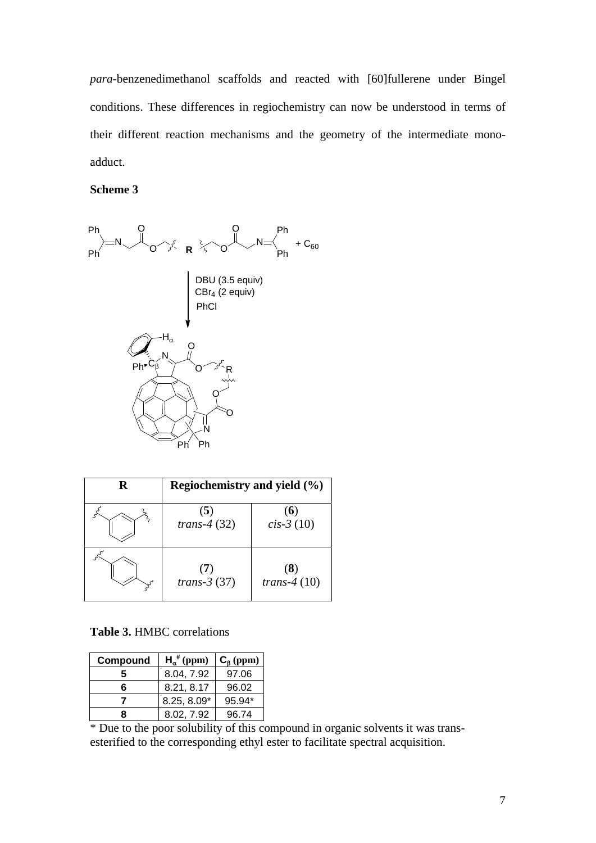*para*-benzenedimethanol scaffolds and reacted with [60]fullerene under Bingel conditions. These differences in regiochemistry can now be understood in terms of their different reaction mechanisms and the geometry of the intermediate monoadduct.

### **Scheme 3**



| R   | Regiochemistry and yield (%) |                       |  |
|-----|------------------------------|-----------------------|--|
|     | (5)<br>trans-4 $(32)$        | (6)<br>$cis-3(10)$    |  |
| 305 | (7)<br>trans- $3(37)$        | (8)<br>trans- $4(10)$ |  |

### **Table 3.** HMBC correlations

| Compound | $H_{\alpha}^{#}$ (ppm) | $C_{\beta}$ (ppm) |
|----------|------------------------|-------------------|
|          | 8.04, 7.92             | 97.06             |
| 6        | 8.21, 8.17             | 96.02             |
|          | 8.25, 8.09*            | 95.94*            |
|          | 8.02.7.92              | 96.74             |

\* Due to the poor solubility of this compound in organic solvents it was transesterified to the corresponding ethyl ester to facilitate spectral acquisition.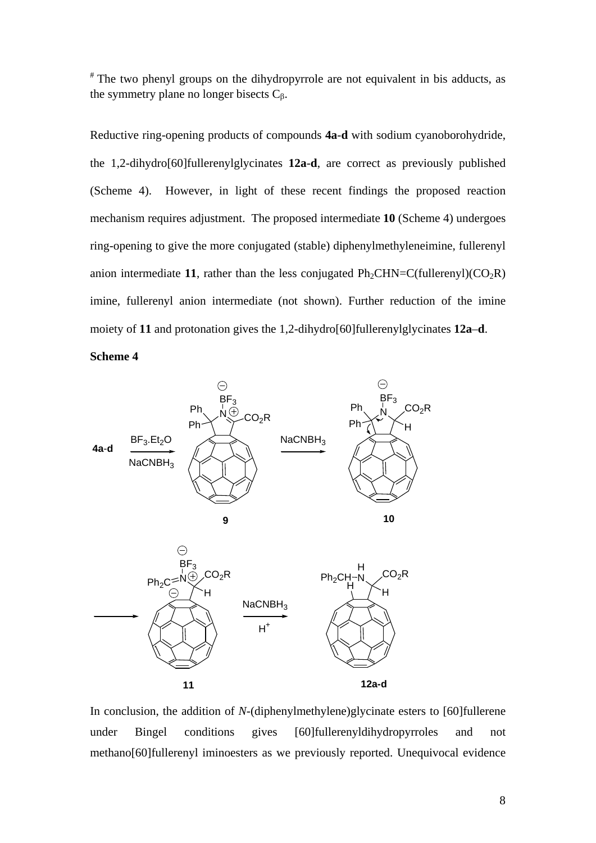# The two phenyl groups on the dihydropyrrole are not equivalent in bis adducts, as the symmetry plane no longer bisects  $C_8$ .

Reductive ring-opening products of compounds **4a**-**d** with sodium cyanoborohydride, the 1,2-dihydro[60]fullerenylglycinates **12a**-**d**, are correct as previously published (Scheme 4). However, in light of these recent findings the proposed reaction mechanism requires adjustment. The proposed intermediate **10** (Scheme 4) undergoes ring-opening to give the more conjugated (stable) diphenylmethyleneimine, fullerenyl anion intermediate 11, rather than the less conjugated  $Ph_2CHN=C(fullerenyl)(CO_2R)$ imine, fullerenyl anion intermediate (not shown). Further reduction of the imine moiety of **11** and protonation gives the 1,2-dihydro[60]fullerenylglycinates **12a**–**d**.

**Scheme 4** 



In conclusion, the addition of *N*-(diphenylmethylene)glycinate esters to [60]fullerene under Bingel conditions gives [60]fullerenyldihydropyrroles and not methano[60]fullerenyl iminoesters as we previously reported. Unequivocal evidence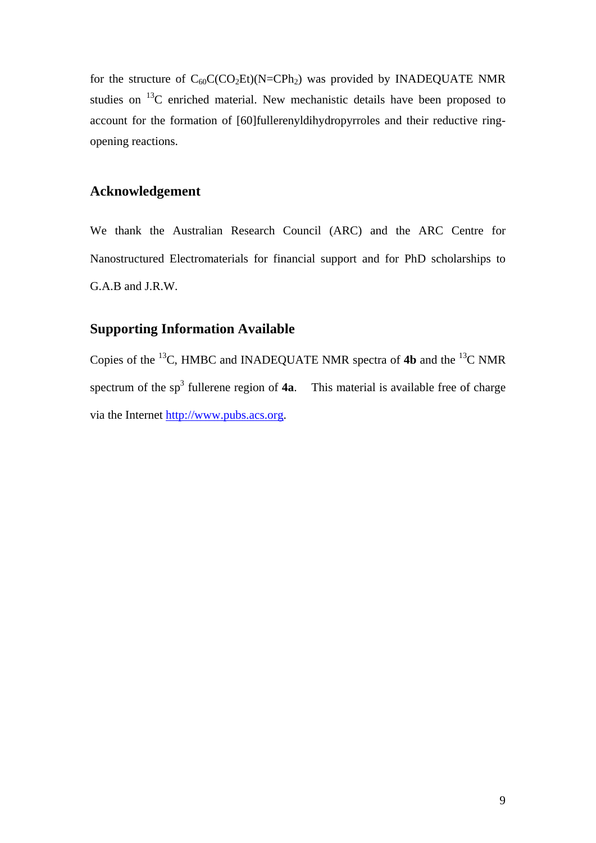for the structure of  $C_{60}C(CO_2Et)(N=CPh_2)$  was provided by INADEQUATE NMR studies on 13C enriched material. New mechanistic details have been proposed to account for the formation of [60]fullerenyldihydropyrroles and their reductive ringopening reactions.

### **Acknowledgement**

We thank the Australian Research Council (ARC) and the ARC Centre for Nanostructured Electromaterials for financial support and for PhD scholarships to G.A.B and J.R.W.

# **Supporting Information Available**

Copies of the 13C, HMBC and INADEQUATE NMR spectra of **4b** and the 13C NMR spectrum of the  $sp<sup>3</sup>$  fullerene region of  $4a$ . This material is available free of charge via the Internet http://www.pubs.acs.org.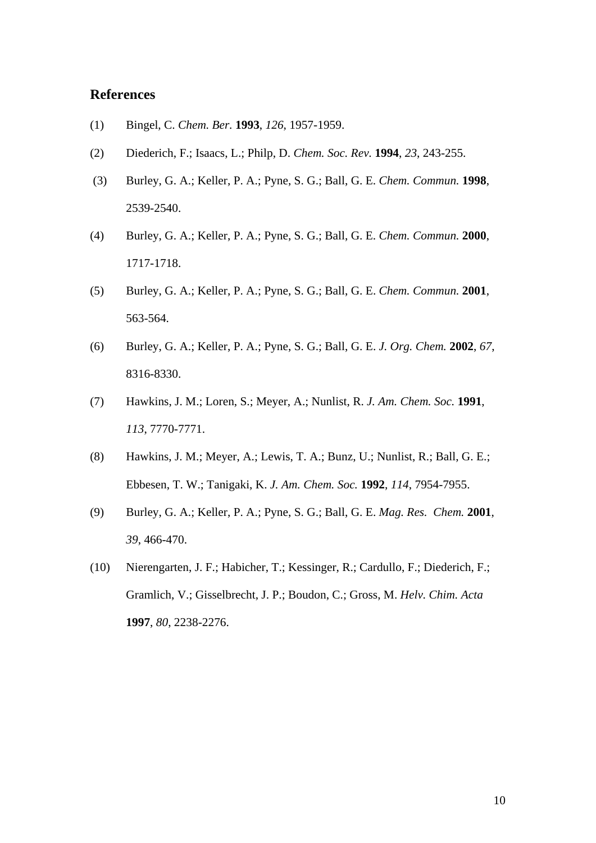### **References**

- (1) Bingel, C. *Chem. Ber.* **1993**, *126*, 1957-1959.
- (2) Diederich, F.; Isaacs, L.; Philp, D. *Chem. Soc. Rev.* **1994**, *23*, 243-255.
- (3) Burley, G. A.; Keller, P. A.; Pyne, S. G.; Ball, G. E. *Chem. Commun.* **1998**, 2539-2540.
- (4) Burley, G. A.; Keller, P. A.; Pyne, S. G.; Ball, G. E. *Chem. Commun.* **2000**, 1717-1718.
- (5) Burley, G. A.; Keller, P. A.; Pyne, S. G.; Ball, G. E. *Chem. Commun.* **2001**, 563-564.
- (6) Burley, G. A.; Keller, P. A.; Pyne, S. G.; Ball, G. E. *J. Org. Chem.* **2002**, *67*, 8316-8330.
- (7) Hawkins, J. M.; Loren, S.; Meyer, A.; Nunlist, R. *J. Am. Chem. Soc.* **1991**, *113*, 7770-7771.
- (8) Hawkins, J. M.; Meyer, A.; Lewis, T. A.; Bunz, U.; Nunlist, R.; Ball, G. E.; Ebbesen, T. W.; Tanigaki, K. *J. Am. Chem. Soc.* **1992**, *114*, 7954-7955.
- (9) Burley, G. A.; Keller, P. A.; Pyne, S. G.; Ball, G. E. *Mag. Res. Chem.* **2001**, *39*, 466-470.
- (10) Nierengarten, J. F.; Habicher, T.; Kessinger, R.; Cardullo, F.; Diederich, F.; Gramlich, V.; Gisselbrecht, J. P.; Boudon, C.; Gross, M. *Helv. Chim. Acta* **1997**, *80*, 2238-2276.